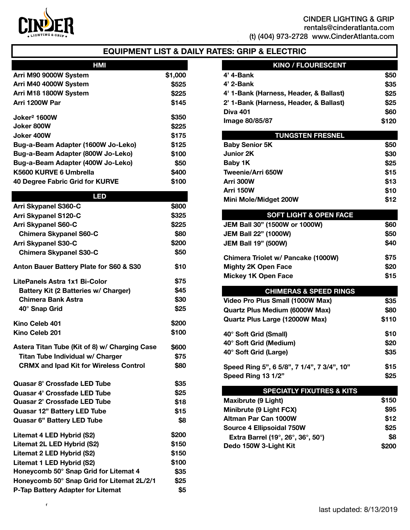

# **EQUIPMENT LIST & DAILY RATES: GRIP & ELECTRIC**

| HMI                                |         |
|------------------------------------|---------|
| Arri M90 9000W System              | \$1,000 |
| Arri M40 4000W System              | \$525   |
| Arri M18 1800W System              | \$225   |
| Arri 1200W Par                     | \$145   |
| Joker <sup>2</sup> 1600W           | \$350   |
| Joker 800W                         | \$225   |
| Joker 400W                         | \$175   |
| Bug-a-Beam Adapter (1600W Jo-Leko) | \$125   |
| Bug-a-Beam Adapter (800W Jo-Leko)  | \$100   |
| Bug-a-Beam Adapter (400W Jo-Leko)  | \$50    |
| K5600 KURVE 6 Umbrella             | \$400   |
| 40 Degree Fabric Grid for KURVE    | \$100   |
|                                    |         |

# **LED Arri Skypanel S360-C \$800 Arri Skypanel S120-C \$325 Arri Skypanel S60-C \$225 Chimera Skypanel S60-C** \$80 **Arri Skypanel S30-C \$200 Chimera Skypanel S30-C \$50 Anton Bauer Battery Plate for S60 & S30 \$10 LitePanels Astra 1x1 Bi-Color \$75 Battery Kit (2 Batteries w/ Charger) \$45 Chimera Bank Astra \$30 40° Snap Grid \$25 Kino Celeb 401 \$200 Kino Celeb 201 \$100 Astera Titan Tube (Kit of 8) w/ Charging Case \$600 Titan Tube Individual w/ Charger \$75 CRMX and Ipad Kit for Wireless Control \$80 Quasar 8' Crossfade LED Tube \$35 Quasar 4' Crossfade LED Tube \$25 Quasar 2' Crossfade LED Tube \$18 Quasar 12" Battery LED Tube \$15 Quasar 6" Battery LED Tube \$8 Litemat 4 LED Hybrid (S2) \$200 Litemat 2L LED Hybrid (S2) \$150 Litemat 2 LED Hybrid (S2) \$150 Litemat 1 LED Hybrid (S2) \$100 Honeycomb 50° Snap Grid for Litemat 4 \$35 Honeycomb 50° Snap Grid for Litemat 2L/2/1 \$25 P-Tap Battery Adapter for Litemat \$5**

 $\overline{A}$ 

| <b>KINO / FLOURESCENT</b>              |       |
|----------------------------------------|-------|
| 4' 4-Bank                              | \$50  |
| 4' 2-Bank                              | \$35  |
| 4' 1-Bank (Harness, Header, & Ballast) | \$25  |
| 2' 1-Bank (Harness, Header, & Ballast) | \$25  |
| <b>Diva 401</b>                        | \$60  |
| Image 80/85/87                         | \$120 |

| <b>TUNGSTEN FRESNEL</b> |      |
|-------------------------|------|
| <b>Baby Senior 5K</b>   | \$50 |
| <b>Junior 2K</b>        | \$30 |
| Baby 1K                 | \$25 |
| Tweenie/Arri 650W       | \$15 |
| Arri 300W               | \$13 |
| Arri 150W               | \$10 |
| Mini Mole/Midget 200W   | \$12 |

| <b>SOFT LIGHT &amp; OPEN FACE</b>    |      |
|--------------------------------------|------|
| <b>JEM Ball 30" (1500W or 1000W)</b> | \$60 |
| <b>JEM Ball 22" (1000W)</b>          | \$50 |
| <b>JEM Ball 19" (500W)</b>           | \$40 |
| Chimera Triolet w/ Pancake (1000W)   | \$75 |
| <b>Mighty 2K Open Face</b>           | \$20 |
| <b>Mickey 1K Open Face</b>           | \$15 |

# **CHIMERAS & SPEED RINGS Video Pro Plus Small (1000W Max) \$35 Quartz Plus Medium (6000W Max) \$80 Quartz Plus Large (12000W Max) \$110 40° Soft Grid (Small) \$10 40° Soft Grid (Medium) \$20 40° Soft Grid (Large) \$35**

| .                                          |      |
|--------------------------------------------|------|
| Speed Ring 5", 6 5/8", 7 1/4", 7 3/4", 10" | \$15 |
| Speed Ring 13 1/2"                         | \$25 |

#### **SPECIATLY FIXUTRES & KITS**

| Maxibrute (9 Light)                                                           | \$150 |
|-------------------------------------------------------------------------------|-------|
| Minibrute (9 Light FCX)                                                       | \$95  |
| <b>Altman Par Can 1000W</b>                                                   | \$12  |
| Source 4 Ellipsoidal 750W                                                     | \$25  |
| Extra Barrel (19 $^{\circ}$ , 26 $^{\circ}$ , 36 $^{\circ}$ , 50 $^{\circ}$ ) | \$8   |
| Dedo 150W 3-Light Kit                                                         | \$200 |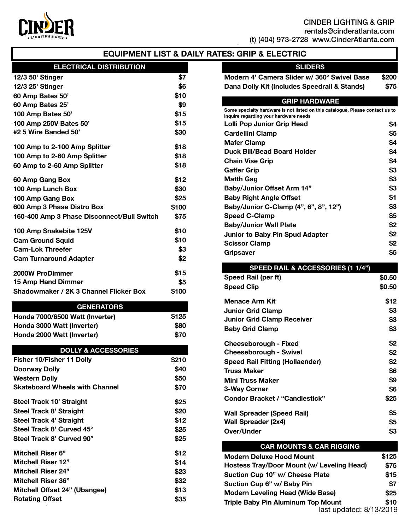

# CINDER LIGHTING & GRIP

[rentals@cinderatlanta.com](mailto:rentals@atlanta-camera.com) (t)  $(404)$  973-2728 [www.CinderAtlanta.com](http://www.CinderAtlanta.com)

# **EQUIPMENT LIST & DAILY RATES: GRIP & ELECTRIC**

## **ELECTRICAL DISTRIBUTION**

| 12/3 50' Stinger                           | \$7   |
|--------------------------------------------|-------|
| 12/3 25' Stinger                           | \$6   |
| 60 Amp Bates 50'                           | \$10  |
| 60 Amp Bates 25'                           | \$9   |
| 100 Amp Bates 50'                          | \$15  |
| 100 Amp 250V Bates 50'                     | \$15  |
| #2 5 Wire Banded 50'                       | \$30  |
| 100 Amp to 2-100 Amp Splitter              | \$18  |
| 100 Amp to 2-60 Amp Splitter               | \$18  |
| 60 Amp to 2-60 Amp Splitter                | \$18  |
| 60 Amp Gang Box                            | \$12  |
| 100 Amp Lunch Box                          | \$30  |
| 100 Amp Gang Box                           | \$25  |
| 600 Amp 3 Phase Distro Box                 | \$100 |
| 160-400 Amp 3 Phase Disconnect/Bull Switch | \$75  |
| 100 Amp Snakebite 125V                     | \$10  |
| <b>Cam Ground Squid</b>                    | \$10  |
| <b>Cam-Lok Threefer</b>                    | \$3   |
| <b>Cam Turnaround Adapter</b>              | \$2   |
| 2000W ProDimmer                            | \$15  |
| 15 Amp Hand Dimmer                         | \$5   |
| Shadowmaker / 2K 3 Channel Flicker Box     | \$100 |

#### **GENERATORS**

| Honda 7000/6500 Watt (Inverter) | \$125      |
|---------------------------------|------------|
| Honda 3000 Watt (Inverter)      | <b>S80</b> |
| Honda 2000 Watt (Inverter)      | <b>S70</b> |

# **DOLLY & ACCESSORIES**

| Fisher 10/Fisher 11 Dolly             | \$210 |
|---------------------------------------|-------|
| Doorway Dolly                         | \$40  |
| <b>Western Dolly</b>                  | \$50  |
| <b>Skateboard Wheels with Channel</b> | \$70  |
| Steel Track 10' Straight              | \$25  |
| Steel Track 8' Straight               | \$20  |
| Steel Track 4' Straight               | \$12  |
| Steel Track 8' Curved 45°             | \$25  |
| Steel Track 8' Curved 90°             | \$25  |
| <b>Mitchell Riser 6"</b>              | \$12  |
| <b>Mitchell Riser 12"</b>             | \$14  |
| <b>Mitchell Riser 24"</b>             | \$23  |
| <b>Mitchell Riser 36"</b>             | \$32  |
| Mitchell Offset 24" (Ubangee)         | \$13  |
| <b>Rotating Offset</b>                | \$35  |

# **SLIDERS**

| Modern 4' Camera Slider w/ 360° Swivel Base  | \$200 |
|----------------------------------------------|-------|
| Dana Dolly Kit (Includes Speedrail & Stands) | \$75  |

## **GRIP HARDWARE**

| Some specialty hardware is not listed on this catalogue. Please contact us to<br>inquire regarding your hardware needs |     |
|------------------------------------------------------------------------------------------------------------------------|-----|
| Lolli Pop Junior Grip Head                                                                                             | \$4 |
| Cardellini Clamp                                                                                                       | \$5 |
| <b>Mafer Clamp</b>                                                                                                     | \$4 |
| <b>Duck Bill/Bead Board Holder</b>                                                                                     | \$4 |
| <b>Chain Vise Grip</b>                                                                                                 | \$4 |
| <b>Gaffer Grip</b>                                                                                                     | \$3 |
| Matth Gag                                                                                                              | \$3 |
| <b>Baby/Junior Offset Arm 14"</b>                                                                                      | \$3 |
| <b>Baby Right Angle Offset</b>                                                                                         | \$1 |
| Baby/Junior C-Clamp (4", 6", 8", 12")                                                                                  | \$3 |
| <b>Speed C-Clamp</b>                                                                                                   | \$5 |
| <b>Baby/Junior Wall Plate</b>                                                                                          | \$2 |
| Junior to Baby Pin Spud Adapter                                                                                        | \$2 |
| <b>Scissor Clamp</b>                                                                                                   | \$2 |
| <b>Gripsaver</b>                                                                                                       | \$5 |

| SPEED RAIL & ACCESSORIES (1 1/4")     |        |
|---------------------------------------|--------|
| Speed Rail (per ft)                   | \$0.50 |
| <b>Speed Clip</b>                     | \$0.50 |
| <b>Menace Arm Kit</b>                 | \$12   |
| <b>Junior Grid Clamp</b>              | \$3    |
| <b>Junior Grid Clamp Receiver</b>     | \$3    |
| <b>Baby Grid Clamp</b>                | \$3    |
| Cheeseborough - Fixed                 | \$2    |
| Cheeseborough - Swivel                | \$2    |
| Speed Rail Fitting (Hollaender)       | \$2    |
| <b>Truss Maker</b>                    | \$6    |
| Mini Truss Maker                      | \$9    |
| 3-Way Corner                          | \$6    |
| <b>Condor Bracket / "Candlestick"</b> | \$25   |
| Wall Spreader (Speed Rail)            | \$5    |
| <b>Wall Spreader (2x4)</b>            | \$5    |
| Over/Under                            | \$3    |

| <b>CAR MOUNTS &amp; CAR RIGGING</b>        |       |
|--------------------------------------------|-------|
| <b>Modern Deluxe Hood Mount</b>            | \$125 |
| Hostess Tray/Door Mount (w/ Leveling Head) | \$75  |
| Suction Cup 10" w/ Cheese Plate            | \$15  |
| Suction Cup 6" w/ Baby Pin                 | \$7   |
| <b>Modern Leveling Head (Wide Base)</b>    | \$25  |
| <b>Triple Baby Pin Aluminum Top Mount</b>  | \$10  |
| last updated: 8/13/2019                    |       |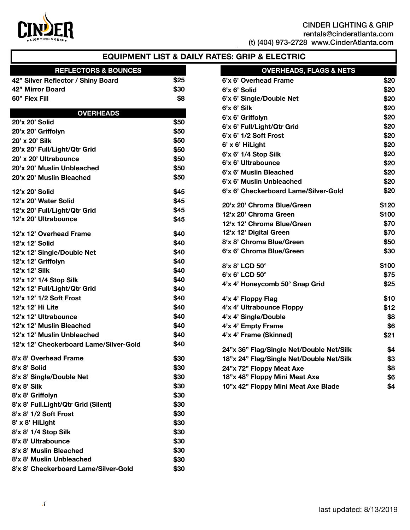

# CINDER LIGHTING & GRIP

[rentals@cinderatlanta.com](mailto:rentals@atlanta-camera.com)

(t) (404) 973-2728 [www.CinderAtlanta.com](http://www.CinderAtlanta.com)

# **EQUIPMENT LIST & DAILY RATES: GRIP & ELECTRIC**

# **REFLECTORS & BOUNCES**

| 42" Silver Reflector / Shiny Board | \$25        |
|------------------------------------|-------------|
| 42" Mirror Board                   | <b>\$30</b> |
| 60" Flex Fill                      | \$8         |

## **OVERHEADS**

| 20'x 20' Solid                         | \$50 |
|----------------------------------------|------|
| 20'x 20' Griffolyn                     | \$50 |
| 20' x 20' Silk                         | \$50 |
| 20'x 20' Full/Light/Qtr Grid           | \$50 |
| 20' x 20' Ultrabounce                  | \$50 |
| 20'x 20' Muslin Unbleached             | \$50 |
| 20'x 20' Muslin Bleached               | \$50 |
| 12'x 20' Solid                         | \$45 |
| 12'x 20' Water Solid                   | \$45 |
| 12'x 20' Full/Light/Qtr Grid           | \$45 |
| 12'x 20' Ultrabounce                   | \$45 |
| 12'x 12' Overhead Frame                | \$40 |
| 12'x 12' Solid                         | \$40 |
| 12'x 12' Single/Double Net             | \$40 |
| 12'x 12' Griffolyn                     | \$40 |
| 12'x 12' Silk                          | \$40 |
| 12'x 12' 1/4 Stop Silk                 | \$40 |
| 12'x 12' Full/Light/Qtr Grid           | \$40 |
| 12'x 12' 1/2 Soft Frost                | \$40 |
| 12'x 12' Hi Lite                       | \$40 |
| 12'x 12' Ultrabounce                   | \$40 |
| 12'x 12' Muslin Bleached               | \$40 |
| 12'x 12' Muslin Unbleached             | \$40 |
| 12'x 12' Checkerboard Lame/Silver-Gold | \$40 |
| 8'x 8' Overhead Frame                  | \$30 |
| 8'x 8' Solid                           | \$30 |
| 8'x 8' Single/Double Net               | \$30 |
| 8'x 8' Silk                            | \$30 |
| 8'x 8' Griffolyn                       | \$30 |
| 8'x 8' Full.Light/Qtr Grid (Silent)    | \$30 |
| 8'x 8' 1/2 Soft Frost                  | \$30 |
| 8' x 8' HiLight                        | \$30 |
| 8'x 8' 1/4 Stop Silk                   | \$30 |
| 8'x 8' Ultrabounce                     | \$30 |
| 8'x 8' Muslin Bleached                 | \$30 |
| 8'x 8' Muslin Unbleached               | \$30 |
| 8'x 8' Checkerboard Lame/Silver-Gold   | \$30 |

| <b>OVERHEADS, FLAGS &amp; NETS</b>       |       |
|------------------------------------------|-------|
| 6'x 6' Overhead Frame                    | \$20  |
| 6'x 6' Solid                             | \$20  |
| 6'x 6' Single/Double Net                 | \$20  |
| 6'x 6' Silk                              | \$20  |
| 6'x 6' Griffolyn                         | \$20  |
| 6'x 6' Full/Light/Qtr Grid               | \$20  |
| 6'x 6' 1/2 Soft Frost                    | \$20  |
| 6' x 6' HiLight                          | \$20  |
| 6'x 6' 1/4 Stop Silk                     | \$20  |
| 6'x 6' Ultrabounce                       | \$20  |
| 6'x 6' Muslin Bleached                   | \$20  |
| 6'x 6' Muslin Unbleached                 | \$20  |
| 6'x 6' Checkerboard Lame/Silver-Gold     | \$20  |
| 20'x 20' Chroma Blue/Green               | \$120 |
| 12'x 20' Chroma Green                    | \$100 |
| 12'x 12' Chroma Blue/Green               | \$70  |
| 12'x 12' Digital Green                   | \$70  |
| 8'x 8' Chroma Blue/Green                 | \$50  |
| 6'x 6' Chroma Blue/Green                 | \$30  |
| 8'x 8' LCD 50°                           | \$100 |
| 6'x 6' LCD 50°                           | \$75  |
| 4'x 4' Honeycomb 50° Snap Grid           | \$25  |
| 4'x 4' Floppy Flag                       | \$10  |
| 4'x 4' Ultrabounce Floppy                | \$12  |
| 4'x 4' Single/Double                     | \$8   |
| 4'x 4' Empty Frame                       | \$6   |
| 4'x 4' Frame (Skinned)                   | \$21  |
| 24"x 36" Flag/Single Net/Double Net/Silk | \$4   |
| 18"x 24" Flag/Single Net/Double Net/Silk | \$3   |
| 24"x 72" Floppy Meat Axe                 | \$8   |
| 18"x 48" Floppy Mini Meat Axe            | \$6   |
| 10"x 42" Floppy Mini Meat Axe Blade      | \$4   |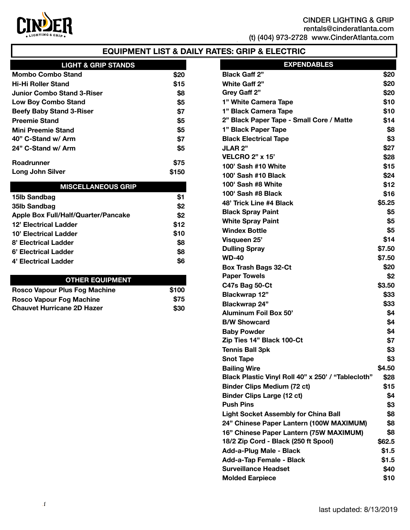

# **EQUIPMENT LIST & DAILY RATES: GRIP & ELECTRIC**

| <b>LIGHT &amp; GRIP STANDS</b>  |             |
|---------------------------------|-------------|
| <b>Mombo Combo Stand</b>        | <b>\$20</b> |
| Hi-Hi Roller Stand              | \$15        |
| Junior Combo Stand 3-Riser      | \$8         |
| <b>Low Boy Combo Stand</b>      | \$5         |
| <b>Beefy Baby Stand 3-Riser</b> | \$7         |
| <b>Preemie Stand</b>            | \$5         |
| <b>Mini Preemie Stand</b>       | \$5         |
| 40" C-Stand w/ Arm              | \$7         |
| 24" C-Stand w/ Arm              | \$5         |
| <b>Roadrunner</b>               | \$75        |
| <b>Long John Silver</b>         | \$150       |

| <b>MISCELLANEOUS GRIP</b>                  |      |
|--------------------------------------------|------|
| 15lb Sandbag                               | \$1  |
| 35lb Sandbag                               | \$2  |
| <b>Apple Box Full/Half/Quarter/Pancake</b> | \$2  |
| 12' Electrical Ladder                      | \$12 |
| 10' Electrical Ladder                      | \$10 |
| 8' Electrical Ladder                       | \$8  |
| 6' Electrical Ladder                       | \$8  |
| 4' Electrical Ladder                       | \$6  |

## **OTHER EQUIPMENT**

| Rosco Vapour Plus Fog Machine     | \$100 |
|-----------------------------------|-------|
| Rosco Vapour Fog Machine          | \$75  |
| <b>Chauvet Hurricane 2D Hazer</b> | \$30  |

| <b>EXPENDABLES</b>                                 |        |
|----------------------------------------------------|--------|
| <b>Black Gaff 2"</b>                               | \$20   |
| White Gaff 2"                                      | \$20   |
| Grey Gaff 2"                                       | \$20   |
| 1" White Camera Tape                               | \$10   |
| 1" Black Camera Tape                               | \$10   |
| 2" Black Paper Tape - Small Core / Matte           | \$14   |
| 1" Black Paper Tape                                | \$8    |
| <b>Black Electrical Tape</b>                       | \$3    |
| <b>JLAR 2"</b>                                     | \$27   |
| <b>VELCRO 2" x 15'</b>                             | \$28   |
| 100' Sash #10 White                                | \$15   |
| 100' Sash #10 Black                                | \$24   |
| 100' Sash #8 White                                 | \$12   |
| 100' Sash #8 Black                                 | \$16   |
| 48' Trick Line #4 Black                            | \$5.25 |
| <b>Black Spray Paint</b>                           | \$5    |
| <b>White Spray Paint</b>                           | \$5    |
| <b>Windex Bottle</b>                               | \$5    |
| Visqueen 25'                                       | \$14   |
| <b>Dulling Spray</b>                               | \$7.50 |
| <b>WD-40</b>                                       | \$7.50 |
| <b>Box Trash Bags 32-Ct</b>                        | \$20   |
| <b>Paper Towels</b>                                | \$2    |
| C47s Bag 50-Ct                                     | \$3.50 |
| <b>Blackwrap 12"</b>                               | \$33   |
| Blackwrap 24"                                      | \$33   |
| <b>Aluminum Foil Box 50'</b>                       | \$4    |
| <b>B/W Showcard</b>                                | \$4    |
| <b>Baby Powder</b>                                 | \$4    |
| Zip Ties 14" Black 100-Ct                          | \$7    |
| <b>Tennis Ball 3pk</b>                             | \$3    |
| <b>Snot Tape</b>                                   | \$3    |
| <b>Bailing Wire</b>                                | \$4.50 |
| Black Plastic Vinyl Roll 40" x 250' / "Tablecloth" | \$28   |
| <b>Binder Clips Medium (72 ct)</b>                 | \$15   |
| <b>Binder Clips Large (12 ct)</b>                  | \$4    |
| <b>Push Pins</b>                                   | \$3    |
| <b>Light Socket Assembly for China Ball</b>        | \$8    |
| 24" Chinese Paper Lantern (100W MAXIMUM)           | \$8    |
| 16" Chinese Paper Lantern (75W MAXIMUM)            | \$8    |
| 18/2 Zip Cord - Black (250 ft Spool)               | \$62.5 |
| Add-a-Plug Male - Black                            | \$1.5  |
| Add-a-Tap Female - Black                           | \$1.5  |
| <b>Surveillance Headset</b>                        | \$40   |
| <b>Molded Earpiece</b>                             | \$10   |
|                                                    |        |